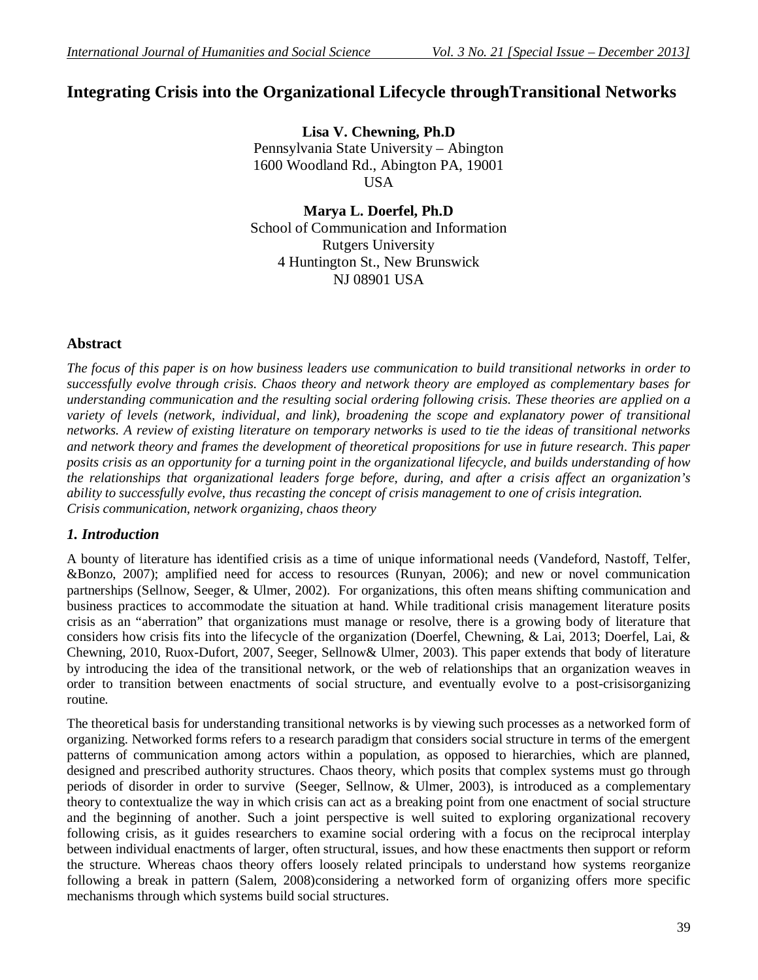# **Integrating Crisis into the Organizational Lifecycle throughTransitional Networks**

**Lisa V. Chewning, Ph.D** Pennsylvania State University – Abington 1600 Woodland Rd., Abington PA, 19001 USA

**Marya L. Doerfel, Ph.D** School of Communication and Information Rutgers University 4 Huntington St., New Brunswick NJ 08901 USA

## **Abstract**

*The focus of this paper is on how business leaders use communication to build transitional networks in order to successfully evolve through crisis. Chaos theory and network theory are employed as complementary bases for understanding communication and the resulting social ordering following crisis. These theories are applied on a*  variety of levels (network, individual, and link), broadening the scope and explanatory power of transitional *networks. A review of existing literature on temporary networks is used to tie the ideas of transitional networks and network theory and frames the development of theoretical propositions for use in future research. This paper posits crisis as an opportunity for a turning point in the organizational lifecycle, and builds understanding of how the relationships that organizational leaders forge before, during, and after a crisis affect an organization's ability to successfully evolve, thus recasting the concept of crisis management to one of crisis integration. Crisis communication, network organizing, chaos theory*

## *1. Introduction*

A bounty of literature has identified crisis as a time of unique informational needs (Vandeford, Nastoff, Telfer, &Bonzo, 2007); amplified need for access to resources (Runyan, 2006); and new or novel communication partnerships (Sellnow, Seeger, & Ulmer, 2002). For organizations, this often means shifting communication and business practices to accommodate the situation at hand. While traditional crisis management literature posits crisis as an "aberration" that organizations must manage or resolve, there is a growing body of literature that considers how crisis fits into the lifecycle of the organization (Doerfel, Chewning, & Lai, 2013; Doerfel, Lai, & Chewning, 2010, Ruox-Dufort, 2007, Seeger, Sellnow& Ulmer, 2003). This paper extends that body of literature by introducing the idea of the transitional network, or the web of relationships that an organization weaves in order to transition between enactments of social structure, and eventually evolve to a post-crisisorganizing routine.

The theoretical basis for understanding transitional networks is by viewing such processes as a networked form of organizing. Networked forms refers to a research paradigm that considers social structure in terms of the emergent patterns of communication among actors within a population, as opposed to hierarchies, which are planned, designed and prescribed authority structures. Chaos theory, which posits that complex systems must go through periods of disorder in order to survive (Seeger, Sellnow, & Ulmer, 2003), is introduced as a complementary theory to contextualize the way in which crisis can act as a breaking point from one enactment of social structure and the beginning of another. Such a joint perspective is well suited to exploring organizational recovery following crisis, as it guides researchers to examine social ordering with a focus on the reciprocal interplay between individual enactments of larger, often structural, issues, and how these enactments then support or reform the structure. Whereas chaos theory offers loosely related principals to understand how systems reorganize following a break in pattern (Salem, 2008)considering a networked form of organizing offers more specific mechanisms through which systems build social structures.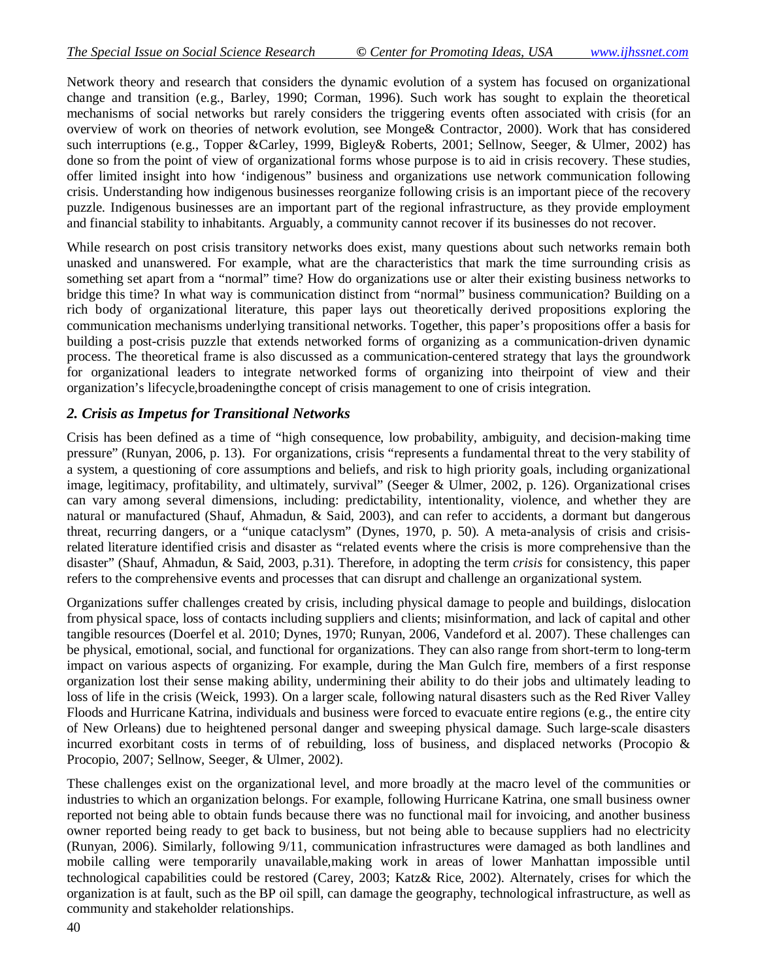Network theory and research that considers the dynamic evolution of a system has focused on organizational change and transition (e.g., Barley, 1990; Corman, 1996). Such work has sought to explain the theoretical mechanisms of social networks but rarely considers the triggering events often associated with crisis (for an overview of work on theories of network evolution, see Monge& Contractor, 2000). Work that has considered such interruptions (e.g., Topper &Carley, 1999, Bigley& Roberts, 2001; Sellnow, Seeger, & Ulmer, 2002) has done so from the point of view of organizational forms whose purpose is to aid in crisis recovery. These studies, offer limited insight into how 'indigenous" business and organizations use network communication following crisis. Understanding how indigenous businesses reorganize following crisis is an important piece of the recovery puzzle. Indigenous businesses are an important part of the regional infrastructure, as they provide employment and financial stability to inhabitants. Arguably, a community cannot recover if its businesses do not recover.

While research on post crisis transitory networks does exist, many questions about such networks remain both unasked and unanswered. For example, what are the characteristics that mark the time surrounding crisis as something set apart from a "normal" time? How do organizations use or alter their existing business networks to bridge this time? In what way is communication distinct from "normal" business communication? Building on a rich body of organizational literature, this paper lays out theoretically derived propositions exploring the communication mechanisms underlying transitional networks. Together, this paper's propositions offer a basis for building a post-crisis puzzle that extends networked forms of organizing as a communication-driven dynamic process. The theoretical frame is also discussed as a communication-centered strategy that lays the groundwork for organizational leaders to integrate networked forms of organizing into theirpoint of view and their organization's lifecycle,broadeningthe concept of crisis management to one of crisis integration.

#### *2. Crisis as Impetus for Transitional Networks*

Crisis has been defined as a time of "high consequence, low probability, ambiguity, and decision-making time pressure" (Runyan, 2006, p. 13). For organizations, crisis "represents a fundamental threat to the very stability of a system, a questioning of core assumptions and beliefs, and risk to high priority goals, including organizational image, legitimacy, profitability, and ultimately, survival" (Seeger & Ulmer, 2002, p. 126). Organizational crises can vary among several dimensions, including: predictability, intentionality, violence, and whether they are natural or manufactured (Shauf, Ahmadun, & Said, 2003), and can refer to accidents, a dormant but dangerous threat, recurring dangers, or a "unique cataclysm" (Dynes, 1970, p. 50). A meta-analysis of crisis and crisisrelated literature identified crisis and disaster as "related events where the crisis is more comprehensive than the disaster" (Shauf, Ahmadun, & Said, 2003, p.31). Therefore, in adopting the term *crisis* for consistency, this paper refers to the comprehensive events and processes that can disrupt and challenge an organizational system.

Organizations suffer challenges created by crisis, including physical damage to people and buildings, dislocation from physical space, loss of contacts including suppliers and clients; misinformation, and lack of capital and other tangible resources (Doerfel et al. 2010; Dynes, 1970; Runyan, 2006, Vandeford et al. 2007). These challenges can be physical, emotional, social, and functional for organizations. They can also range from short-term to long-term impact on various aspects of organizing. For example, during the Man Gulch fire, members of a first response organization lost their sense making ability, undermining their ability to do their jobs and ultimately leading to loss of life in the crisis (Weick, 1993). On a larger scale, following natural disasters such as the Red River Valley Floods and Hurricane Katrina, individuals and business were forced to evacuate entire regions (e.g., the entire city of New Orleans) due to heightened personal danger and sweeping physical damage. Such large-scale disasters incurred exorbitant costs in terms of of rebuilding, loss of business, and displaced networks (Procopio  $\&$ Procopio, 2007; Sellnow, Seeger, & Ulmer, 2002).

These challenges exist on the organizational level, and more broadly at the macro level of the communities or industries to which an organization belongs. For example, following Hurricane Katrina, one small business owner reported not being able to obtain funds because there was no functional mail for invoicing, and another business owner reported being ready to get back to business, but not being able to because suppliers had no electricity (Runyan, 2006). Similarly, following 9/11, communication infrastructures were damaged as both landlines and mobile calling were temporarily unavailable,making work in areas of lower Manhattan impossible until technological capabilities could be restored (Carey, 2003; Katz& Rice, 2002). Alternately, crises for which the organization is at fault, such as the BP oil spill, can damage the geography, technological infrastructure, as well as community and stakeholder relationships.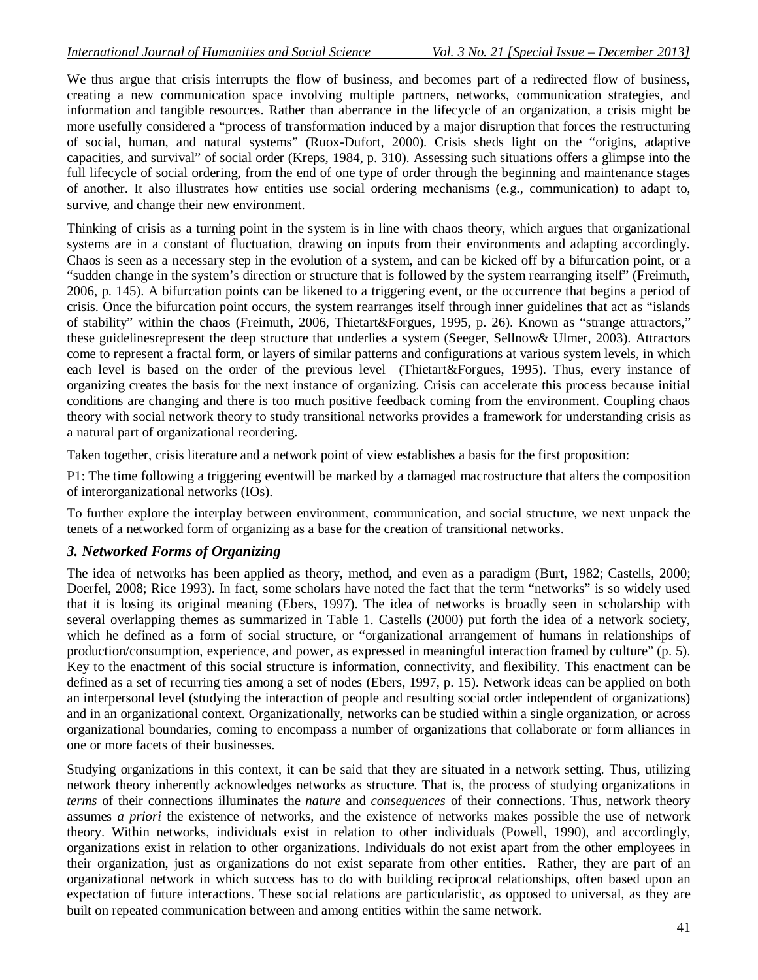We thus argue that crisis interrupts the flow of business, and becomes part of a redirected flow of business, creating a new communication space involving multiple partners, networks, communication strategies, and information and tangible resources. Rather than aberrance in the lifecycle of an organization, a crisis might be more usefully considered a "process of transformation induced by a major disruption that forces the restructuring of social, human, and natural systems" (Ruox-Dufort, 2000). Crisis sheds light on the "origins, adaptive capacities, and survival" of social order (Kreps, 1984, p. 310). Assessing such situations offers a glimpse into the full lifecycle of social ordering, from the end of one type of order through the beginning and maintenance stages of another. It also illustrates how entities use social ordering mechanisms (e.g., communication) to adapt to, survive, and change their new environment.

Thinking of crisis as a turning point in the system is in line with chaos theory, which argues that organizational systems are in a constant of fluctuation, drawing on inputs from their environments and adapting accordingly. Chaos is seen as a necessary step in the evolution of a system, and can be kicked off by a bifurcation point, or a "sudden change in the system's direction or structure that is followed by the system rearranging itself" (Freimuth, 2006, p. 145). A bifurcation points can be likened to a triggering event, or the occurrence that begins a period of crisis. Once the bifurcation point occurs, the system rearranges itself through inner guidelines that act as "islands of stability" within the chaos (Freimuth, 2006, Thietart&Forgues, 1995, p. 26). Known as "strange attractors," these guidelinesrepresent the deep structure that underlies a system (Seeger, Sellnow& Ulmer, 2003). Attractors come to represent a fractal form, or layers of similar patterns and configurations at various system levels, in which each level is based on the order of the previous level (Thietart&Forgues, 1995). Thus, every instance of organizing creates the basis for the next instance of organizing. Crisis can accelerate this process because initial conditions are changing and there is too much positive feedback coming from the environment. Coupling chaos theory with social network theory to study transitional networks provides a framework for understanding crisis as a natural part of organizational reordering.

Taken together, crisis literature and a network point of view establishes a basis for the first proposition:

P1: The time following a triggering eventwill be marked by a damaged macrostructure that alters the composition of interorganizational networks (IOs).

To further explore the interplay between environment, communication, and social structure, we next unpack the tenets of a networked form of organizing as a base for the creation of transitional networks.

## *3. Networked Forms of Organizing*

The idea of networks has been applied as theory, method, and even as a paradigm (Burt, 1982; Castells, 2000; Doerfel, 2008; Rice 1993). In fact, some scholars have noted the fact that the term "networks" is so widely used that it is losing its original meaning (Ebers, 1997). The idea of networks is broadly seen in scholarship with several overlapping themes as summarized in Table 1. Castells (2000) put forth the idea of a network society, which he defined as a form of social structure, or "organizational arrangement of humans in relationships of production/consumption, experience, and power, as expressed in meaningful interaction framed by culture" (p. 5). Key to the enactment of this social structure is information, connectivity, and flexibility. This enactment can be defined as a set of recurring ties among a set of nodes (Ebers, 1997, p. 15). Network ideas can be applied on both an interpersonal level (studying the interaction of people and resulting social order independent of organizations) and in an organizational context. Organizationally, networks can be studied within a single organization, or across organizational boundaries, coming to encompass a number of organizations that collaborate or form alliances in one or more facets of their businesses.

Studying organizations in this context, it can be said that they are situated in a network setting. Thus, utilizing network theory inherently acknowledges networks as structure. That is, the process of studying organizations in *terms* of their connections illuminates the *nature* and *consequences* of their connections. Thus, network theory assumes *a priori* the existence of networks, and the existence of networks makes possible the use of network theory. Within networks, individuals exist in relation to other individuals (Powell, 1990), and accordingly, organizations exist in relation to other organizations. Individuals do not exist apart from the other employees in their organization, just as organizations do not exist separate from other entities. Rather, they are part of an organizational network in which success has to do with building reciprocal relationships, often based upon an expectation of future interactions. These social relations are particularistic, as opposed to universal, as they are built on repeated communication between and among entities within the same network.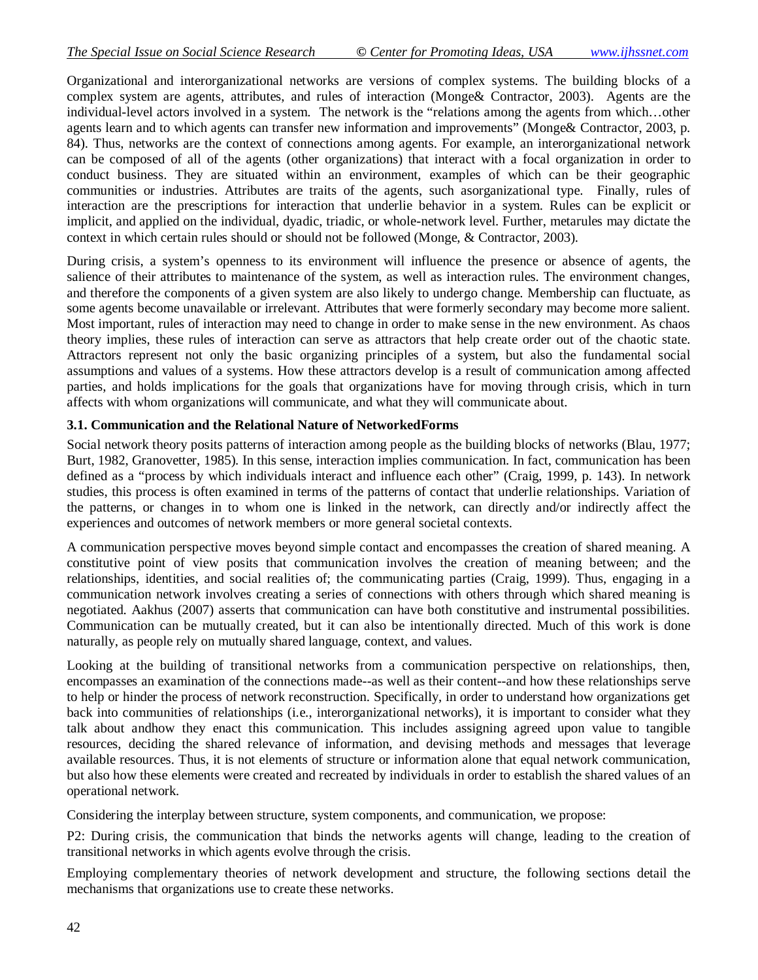Organizational and interorganizational networks are versions of complex systems. The building blocks of a complex system are agents, attributes, and rules of interaction (Monge& Contractor, 2003). Agents are the individual-level actors involved in a system. The network is the "relations among the agents from which…other agents learn and to which agents can transfer new information and improvements" (Monge& Contractor, 2003, p. 84). Thus, networks are the context of connections among agents. For example, an interorganizational network can be composed of all of the agents (other organizations) that interact with a focal organization in order to conduct business. They are situated within an environment, examples of which can be their geographic communities or industries. Attributes are traits of the agents, such asorganizational type. Finally, rules of interaction are the prescriptions for interaction that underlie behavior in a system. Rules can be explicit or implicit, and applied on the individual, dyadic, triadic, or whole-network level. Further, metarules may dictate the context in which certain rules should or should not be followed (Monge, & Contractor, 2003).

During crisis, a system's openness to its environment will influence the presence or absence of agents, the salience of their attributes to maintenance of the system, as well as interaction rules. The environment changes, and therefore the components of a given system are also likely to undergo change. Membership can fluctuate, as some agents become unavailable or irrelevant. Attributes that were formerly secondary may become more salient. Most important, rules of interaction may need to change in order to make sense in the new environment. As chaos theory implies, these rules of interaction can serve as attractors that help create order out of the chaotic state. Attractors represent not only the basic organizing principles of a system, but also the fundamental social assumptions and values of a systems. How these attractors develop is a result of communication among affected parties, and holds implications for the goals that organizations have for moving through crisis, which in turn affects with whom organizations will communicate, and what they will communicate about.

#### **3.1. Communication and the Relational Nature of NetworkedForms**

Social network theory posits patterns of interaction among people as the building blocks of networks (Blau, 1977; Burt, 1982, Granovetter, 1985). In this sense, interaction implies communication. In fact, communication has been defined as a "process by which individuals interact and influence each other" (Craig, 1999, p. 143). In network studies, this process is often examined in terms of the patterns of contact that underlie relationships. Variation of the patterns, or changes in to whom one is linked in the network, can directly and/or indirectly affect the experiences and outcomes of network members or more general societal contexts.

A communication perspective moves beyond simple contact and encompasses the creation of shared meaning. A constitutive point of view posits that communication involves the creation of meaning between; and the relationships, identities, and social realities of; the communicating parties (Craig, 1999). Thus, engaging in a communication network involves creating a series of connections with others through which shared meaning is negotiated. Aakhus (2007) asserts that communication can have both constitutive and instrumental possibilities. Communication can be mutually created, but it can also be intentionally directed. Much of this work is done naturally, as people rely on mutually shared language, context, and values.

Looking at the building of transitional networks from a communication perspective on relationships, then, encompasses an examination of the connections made--as well as their content--and how these relationships serve to help or hinder the process of network reconstruction. Specifically, in order to understand how organizations get back into communities of relationships (i.e., interorganizational networks), it is important to consider what they talk about andhow they enact this communication. This includes assigning agreed upon value to tangible resources, deciding the shared relevance of information, and devising methods and messages that leverage available resources. Thus, it is not elements of structure or information alone that equal network communication, but also how these elements were created and recreated by individuals in order to establish the shared values of an operational network.

Considering the interplay between structure, system components, and communication, we propose:

P2: During crisis, the communication that binds the networks agents will change, leading to the creation of transitional networks in which agents evolve through the crisis.

Employing complementary theories of network development and structure, the following sections detail the mechanisms that organizations use to create these networks.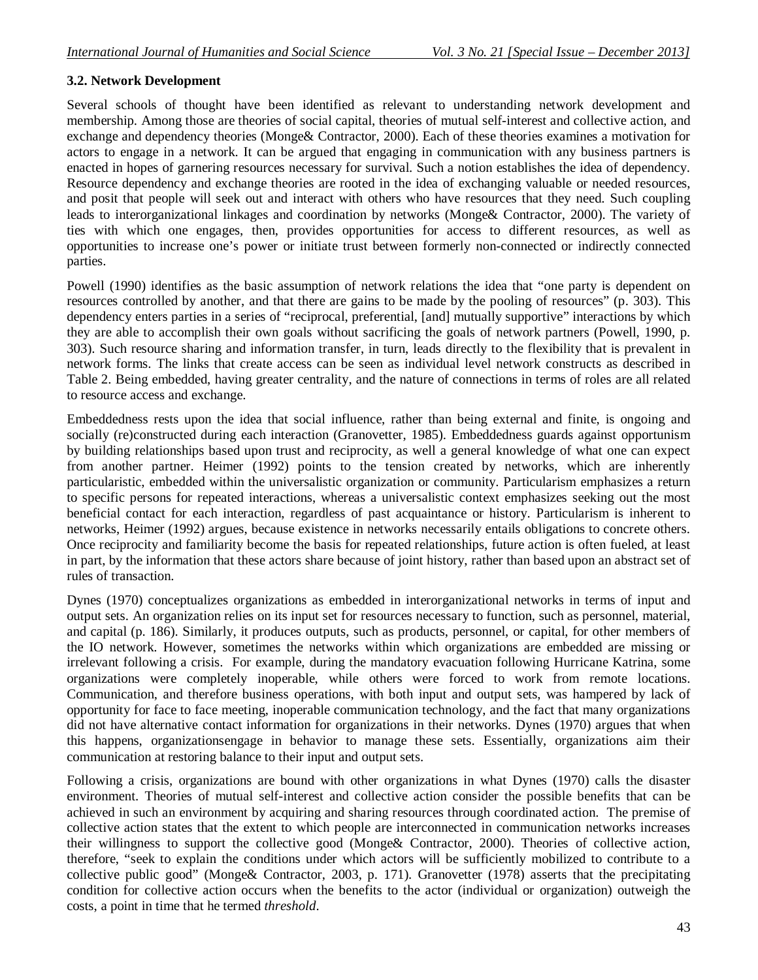#### **3.2. Network Development**

Several schools of thought have been identified as relevant to understanding network development and membership. Among those are theories of social capital, theories of mutual self-interest and collective action, and exchange and dependency theories (Monge& Contractor, 2000). Each of these theories examines a motivation for actors to engage in a network. It can be argued that engaging in communication with any business partners is enacted in hopes of garnering resources necessary for survival. Such a notion establishes the idea of dependency. Resource dependency and exchange theories are rooted in the idea of exchanging valuable or needed resources, and posit that people will seek out and interact with others who have resources that they need. Such coupling leads to interorganizational linkages and coordination by networks (Monge& Contractor, 2000). The variety of ties with which one engages, then, provides opportunities for access to different resources, as well as opportunities to increase one's power or initiate trust between formerly non-connected or indirectly connected parties.

Powell (1990) identifies as the basic assumption of network relations the idea that "one party is dependent on resources controlled by another, and that there are gains to be made by the pooling of resources" (p. 303). This dependency enters parties in a series of "reciprocal, preferential, [and] mutually supportive" interactions by which they are able to accomplish their own goals without sacrificing the goals of network partners (Powell, 1990, p. 303). Such resource sharing and information transfer, in turn, leads directly to the flexibility that is prevalent in network forms. The links that create access can be seen as individual level network constructs as described in Table 2. Being embedded, having greater centrality, and the nature of connections in terms of roles are all related to resource access and exchange.

Embeddedness rests upon the idea that social influence, rather than being external and finite, is ongoing and socially (re)constructed during each interaction (Granovetter, 1985). Embeddedness guards against opportunism by building relationships based upon trust and reciprocity, as well a general knowledge of what one can expect from another partner. Heimer (1992) points to the tension created by networks, which are inherently particularistic, embedded within the universalistic organization or community. Particularism emphasizes a return to specific persons for repeated interactions, whereas a universalistic context emphasizes seeking out the most beneficial contact for each interaction, regardless of past acquaintance or history. Particularism is inherent to networks, Heimer (1992) argues, because existence in networks necessarily entails obligations to concrete others. Once reciprocity and familiarity become the basis for repeated relationships, future action is often fueled, at least in part, by the information that these actors share because of joint history, rather than based upon an abstract set of rules of transaction.

Dynes (1970) conceptualizes organizations as embedded in interorganizational networks in terms of input and output sets. An organization relies on its input set for resources necessary to function, such as personnel, material, and capital (p. 186). Similarly, it produces outputs, such as products, personnel, or capital, for other members of the IO network. However, sometimes the networks within which organizations are embedded are missing or irrelevant following a crisis. For example, during the mandatory evacuation following Hurricane Katrina, some organizations were completely inoperable, while others were forced to work from remote locations. Communication, and therefore business operations, with both input and output sets, was hampered by lack of opportunity for face to face meeting, inoperable communication technology, and the fact that many organizations did not have alternative contact information for organizations in their networks. Dynes (1970) argues that when this happens, organizationsengage in behavior to manage these sets. Essentially, organizations aim their communication at restoring balance to their input and output sets.

Following a crisis, organizations are bound with other organizations in what Dynes (1970) calls the disaster environment. Theories of mutual self-interest and collective action consider the possible benefits that can be achieved in such an environment by acquiring and sharing resources through coordinated action. The premise of collective action states that the extent to which people are interconnected in communication networks increases their willingness to support the collective good (Monge& Contractor, 2000). Theories of collective action, therefore, "seek to explain the conditions under which actors will be sufficiently mobilized to contribute to a collective public good" (Monge& Contractor, 2003, p. 171). Granovetter (1978) asserts that the precipitating condition for collective action occurs when the benefits to the actor (individual or organization) outweigh the costs, a point in time that he termed *threshold*.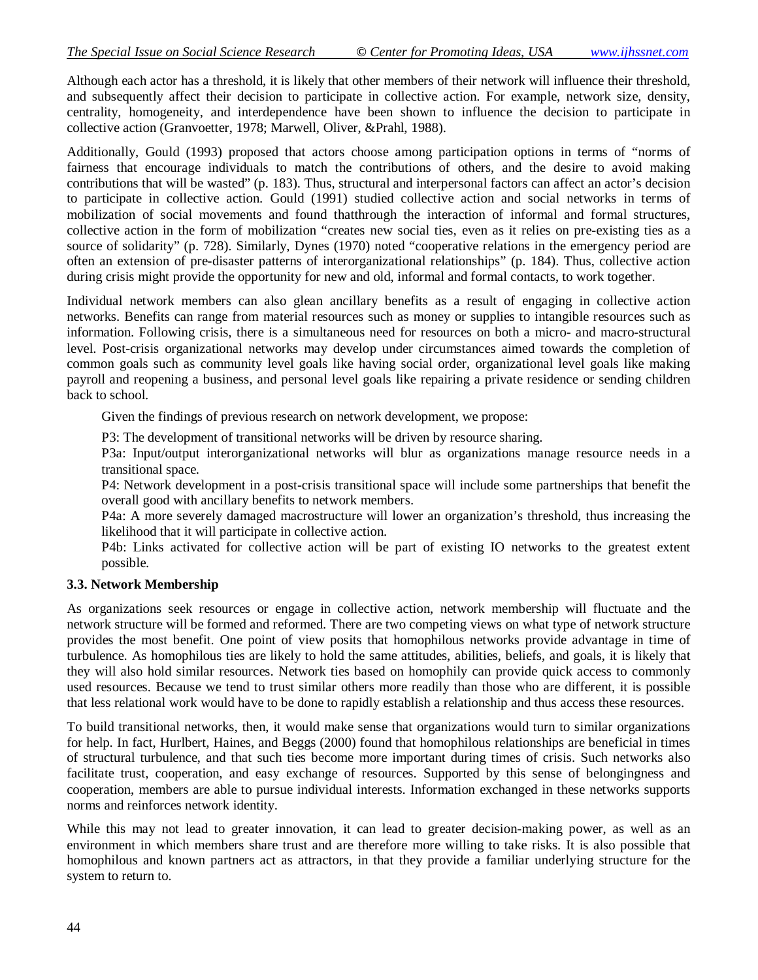Although each actor has a threshold, it is likely that other members of their network will influence their threshold, and subsequently affect their decision to participate in collective action. For example, network size, density, centrality, homogeneity, and interdependence have been shown to influence the decision to participate in collective action (Granvoetter, 1978; Marwell, Oliver, &Prahl, 1988).

Additionally, Gould (1993) proposed that actors choose among participation options in terms of "norms of fairness that encourage individuals to match the contributions of others, and the desire to avoid making contributions that will be wasted" (p. 183). Thus, structural and interpersonal factors can affect an actor's decision to participate in collective action. Gould (1991) studied collective action and social networks in terms of mobilization of social movements and found thatthrough the interaction of informal and formal structures, collective action in the form of mobilization "creates new social ties, even as it relies on pre-existing ties as a source of solidarity" (p. 728). Similarly, Dynes (1970) noted "cooperative relations in the emergency period are often an extension of pre-disaster patterns of interorganizational relationships" (p. 184). Thus, collective action during crisis might provide the opportunity for new and old, informal and formal contacts, to work together.

Individual network members can also glean ancillary benefits as a result of engaging in collective action networks. Benefits can range from material resources such as money or supplies to intangible resources such as information. Following crisis, there is a simultaneous need for resources on both a micro- and macro-structural level. Post-crisis organizational networks may develop under circumstances aimed towards the completion of common goals such as community level goals like having social order, organizational level goals like making payroll and reopening a business, and personal level goals like repairing a private residence or sending children back to school.

Given the findings of previous research on network development, we propose:

P3: The development of transitional networks will be driven by resource sharing.

P3a: Input/output interorganizational networks will blur as organizations manage resource needs in a transitional space.

P4: Network development in a post-crisis transitional space will include some partnerships that benefit the overall good with ancillary benefits to network members.

P4a: A more severely damaged macrostructure will lower an organization's threshold, thus increasing the likelihood that it will participate in collective action.

P4b: Links activated for collective action will be part of existing IO networks to the greatest extent possible.

#### **3.3. Network Membership**

As organizations seek resources or engage in collective action, network membership will fluctuate and the network structure will be formed and reformed. There are two competing views on what type of network structure provides the most benefit. One point of view posits that homophilous networks provide advantage in time of turbulence. As homophilous ties are likely to hold the same attitudes, abilities, beliefs, and goals, it is likely that they will also hold similar resources. Network ties based on homophily can provide quick access to commonly used resources. Because we tend to trust similar others more readily than those who are different, it is possible that less relational work would have to be done to rapidly establish a relationship and thus access these resources.

To build transitional networks, then, it would make sense that organizations would turn to similar organizations for help. In fact, Hurlbert, Haines, and Beggs (2000) found that homophilous relationships are beneficial in times of structural turbulence, and that such ties become more important during times of crisis. Such networks also facilitate trust, cooperation, and easy exchange of resources. Supported by this sense of belongingness and cooperation, members are able to pursue individual interests. Information exchanged in these networks supports norms and reinforces network identity.

While this may not lead to greater innovation, it can lead to greater decision-making power, as well as an environment in which members share trust and are therefore more willing to take risks. It is also possible that homophilous and known partners act as attractors, in that they provide a familiar underlying structure for the system to return to.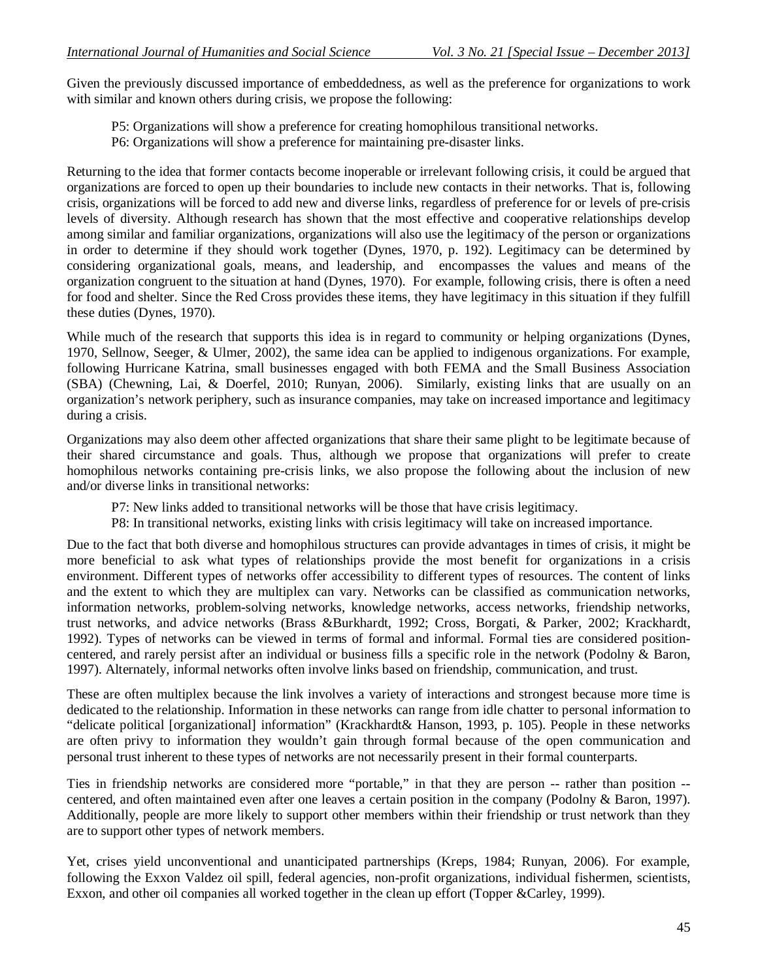Given the previously discussed importance of embeddedness, as well as the preference for organizations to work with similar and known others during crisis, we propose the following:

P5: Organizations will show a preference for creating homophilous transitional networks.

P6: Organizations will show a preference for maintaining pre-disaster links.

Returning to the idea that former contacts become inoperable or irrelevant following crisis, it could be argued that organizations are forced to open up their boundaries to include new contacts in their networks. That is, following crisis, organizations will be forced to add new and diverse links, regardless of preference for or levels of pre-crisis levels of diversity. Although research has shown that the most effective and cooperative relationships develop among similar and familiar organizations, organizations will also use the legitimacy of the person or organizations in order to determine if they should work together (Dynes, 1970, p. 192). Legitimacy can be determined by considering organizational goals, means, and leadership, and encompasses the values and means of the organization congruent to the situation at hand (Dynes, 1970). For example, following crisis, there is often a need for food and shelter. Since the Red Cross provides these items, they have legitimacy in this situation if they fulfill these duties (Dynes, 1970).

While much of the research that supports this idea is in regard to community or helping organizations (Dynes, 1970, Sellnow, Seeger, & Ulmer, 2002), the same idea can be applied to indigenous organizations. For example, following Hurricane Katrina, small businesses engaged with both FEMA and the Small Business Association (SBA) (Chewning, Lai, & Doerfel, 2010; Runyan, 2006). Similarly, existing links that are usually on an organization's network periphery, such as insurance companies, may take on increased importance and legitimacy during a crisis.

Organizations may also deem other affected organizations that share their same plight to be legitimate because of their shared circumstance and goals. Thus, although we propose that organizations will prefer to create homophilous networks containing pre-crisis links, we also propose the following about the inclusion of new and/or diverse links in transitional networks:

- P7: New links added to transitional networks will be those that have crisis legitimacy.
- P8: In transitional networks, existing links with crisis legitimacy will take on increased importance.

Due to the fact that both diverse and homophilous structures can provide advantages in times of crisis, it might be more beneficial to ask what types of relationships provide the most benefit for organizations in a crisis environment. Different types of networks offer accessibility to different types of resources. The content of links and the extent to which they are multiplex can vary. Networks can be classified as communication networks, information networks, problem-solving networks, knowledge networks, access networks, friendship networks, trust networks, and advice networks (Brass &Burkhardt, 1992; Cross, Borgati, & Parker, 2002; Krackhardt, 1992). Types of networks can be viewed in terms of formal and informal. Formal ties are considered positioncentered, and rarely persist after an individual or business fills a specific role in the network (Podolny & Baron, 1997). Alternately, informal networks often involve links based on friendship, communication, and trust.

These are often multiplex because the link involves a variety of interactions and strongest because more time is dedicated to the relationship. Information in these networks can range from idle chatter to personal information to "delicate political [organizational] information" (Krackhardt& Hanson, 1993, p. 105). People in these networks are often privy to information they wouldn't gain through formal because of the open communication and personal trust inherent to these types of networks are not necessarily present in their formal counterparts.

Ties in friendship networks are considered more "portable," in that they are person -- rather than position - centered, and often maintained even after one leaves a certain position in the company (Podolny & Baron, 1997). Additionally, people are more likely to support other members within their friendship or trust network than they are to support other types of network members.

Yet, crises yield unconventional and unanticipated partnerships (Kreps, 1984; Runyan, 2006). For example, following the Exxon Valdez oil spill, federal agencies, non-profit organizations, individual fishermen, scientists, Exxon, and other oil companies all worked together in the clean up effort (Topper &Carley, 1999).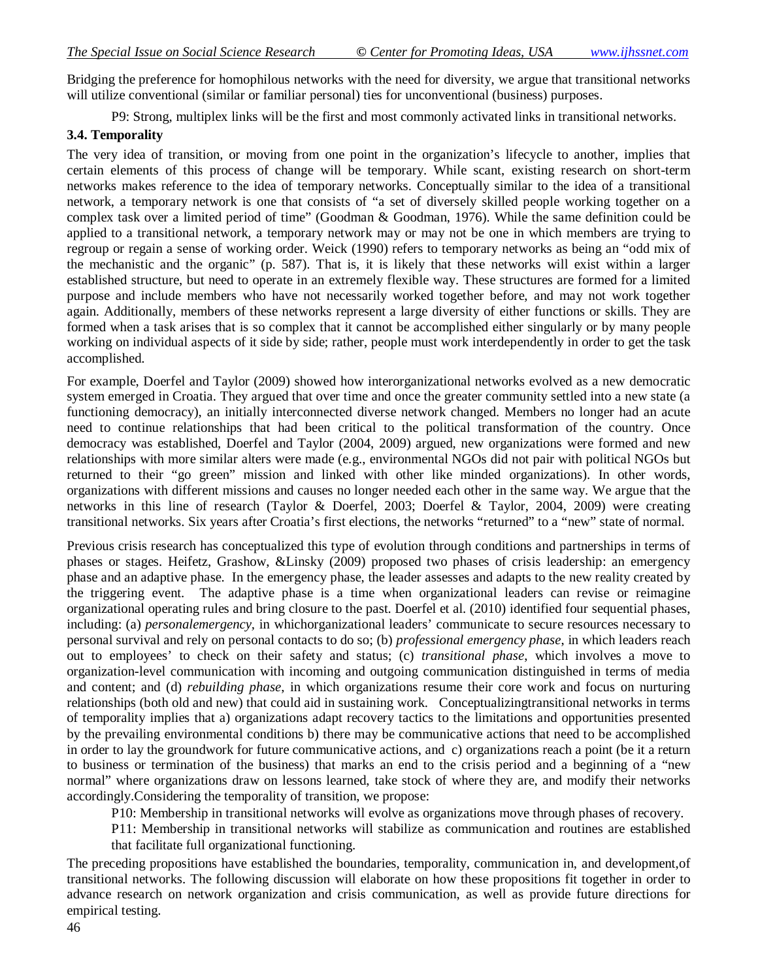Bridging the preference for homophilous networks with the need for diversity, we argue that transitional networks will utilize conventional (similar or familiar personal) ties for unconventional (business) purposes.

P9: Strong, multiplex links will be the first and most commonly activated links in transitional networks.

#### **3.4. Temporality**

The very idea of transition, or moving from one point in the organization's lifecycle to another, implies that certain elements of this process of change will be temporary. While scant, existing research on short-term networks makes reference to the idea of temporary networks. Conceptually similar to the idea of a transitional network, a temporary network is one that consists of "a set of diversely skilled people working together on a complex task over a limited period of time" (Goodman & Goodman, 1976). While the same definition could be applied to a transitional network, a temporary network may or may not be one in which members are trying to regroup or regain a sense of working order. Weick (1990) refers to temporary networks as being an "odd mix of the mechanistic and the organic" (p. 587). That is, it is likely that these networks will exist within a larger established structure, but need to operate in an extremely flexible way. These structures are formed for a limited purpose and include members who have not necessarily worked together before, and may not work together again. Additionally, members of these networks represent a large diversity of either functions or skills. They are formed when a task arises that is so complex that it cannot be accomplished either singularly or by many people working on individual aspects of it side by side; rather, people must work interdependently in order to get the task accomplished.

For example, Doerfel and Taylor (2009) showed how interorganizational networks evolved as a new democratic system emerged in Croatia. They argued that over time and once the greater community settled into a new state (a functioning democracy), an initially interconnected diverse network changed. Members no longer had an acute need to continue relationships that had been critical to the political transformation of the country. Once democracy was established, Doerfel and Taylor (2004, 2009) argued, new organizations were formed and new relationships with more similar alters were made (e.g., environmental NGOs did not pair with political NGOs but returned to their "go green" mission and linked with other like minded organizations). In other words, organizations with different missions and causes no longer needed each other in the same way. We argue that the networks in this line of research (Taylor & Doerfel, 2003; Doerfel & Taylor, 2004, 2009) were creating transitional networks. Six years after Croatia's first elections, the networks "returned" to a "new" state of normal.

Previous crisis research has conceptualized this type of evolution through conditions and partnerships in terms of phases or stages. Heifetz, Grashow, &Linsky (2009) proposed two phases of crisis leadership: an emergency phase and an adaptive phase. In the emergency phase, the leader assesses and adapts to the new reality created by the triggering event. The adaptive phase is a time when organizational leaders can revise or reimagine organizational operating rules and bring closure to the past. Doerfel et al. (2010) identified four sequential phases, including: (a) *personalemergency,* in whichorganizational leaders' communicate to secure resources necessary to personal survival and rely on personal contacts to do so; (b) *professional emergency phase*, in which leaders reach out to employees' to check on their safety and status; (c) *transitional phase*, which involves a move to organization-level communication with incoming and outgoing communication distinguished in terms of media and content; and (d) *rebuilding phase*, in which organizations resume their core work and focus on nurturing relationships (both old and new) that could aid in sustaining work. Conceptualizingtransitional networks in terms of temporality implies that a) organizations adapt recovery tactics to the limitations and opportunities presented by the prevailing environmental conditions b) there may be communicative actions that need to be accomplished in order to lay the groundwork for future communicative actions, and c) organizations reach a point (be it a return to business or termination of the business) that marks an end to the crisis period and a beginning of a "new normal" where organizations draw on lessons learned, take stock of where they are, and modify their networks accordingly.Considering the temporality of transition, we propose:

P10: Membership in transitional networks will evolve as organizations move through phases of recovery.

P11: Membership in transitional networks will stabilize as communication and routines are established that facilitate full organizational functioning.

The preceding propositions have established the boundaries, temporality, communication in, and development,of transitional networks. The following discussion will elaborate on how these propositions fit together in order to advance research on network organization and crisis communication, as well as provide future directions for empirical testing.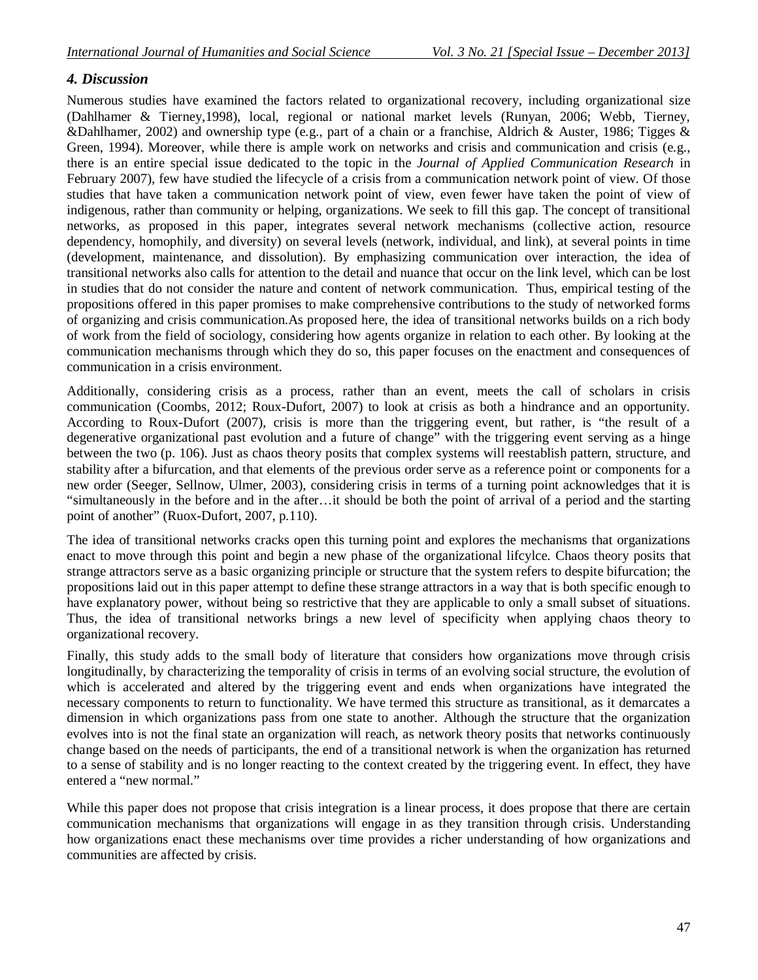## *4. Discussion*

Numerous studies have examined the factors related to organizational recovery, including organizational size (Dahlhamer & Tierney,1998), local, regional or national market levels (Runyan, 2006; Webb, Tierney, &Dahlhamer, 2002) and ownership type (e.g., part of a chain or a franchise, Aldrich & Auster, 1986; Tigges & Green, 1994). Moreover, while there is ample work on networks and crisis and communication and crisis (e.g., there is an entire special issue dedicated to the topic in the *Journal of Applied Communication Research* in February 2007), few have studied the lifecycle of a crisis from a communication network point of view. Of those studies that have taken a communication network point of view, even fewer have taken the point of view of indigenous, rather than community or helping, organizations. We seek to fill this gap. The concept of transitional networks, as proposed in this paper, integrates several network mechanisms (collective action, resource dependency, homophily, and diversity) on several levels (network, individual, and link), at several points in time (development, maintenance, and dissolution). By emphasizing communication over interaction, the idea of transitional networks also calls for attention to the detail and nuance that occur on the link level, which can be lost in studies that do not consider the nature and content of network communication. Thus, empirical testing of the propositions offered in this paper promises to make comprehensive contributions to the study of networked forms of organizing and crisis communication.As proposed here, the idea of transitional networks builds on a rich body of work from the field of sociology, considering how agents organize in relation to each other. By looking at the communication mechanisms through which they do so, this paper focuses on the enactment and consequences of communication in a crisis environment.

Additionally, considering crisis as a process, rather than an event, meets the call of scholars in crisis communication (Coombs, 2012; Roux-Dufort, 2007) to look at crisis as both a hindrance and an opportunity. According to Roux-Dufort (2007), crisis is more than the triggering event, but rather, is "the result of a degenerative organizational past evolution and a future of change" with the triggering event serving as a hinge between the two (p. 106). Just as chaos theory posits that complex systems will reestablish pattern, structure, and stability after a bifurcation, and that elements of the previous order serve as a reference point or components for a new order (Seeger, Sellnow, Ulmer, 2003), considering crisis in terms of a turning point acknowledges that it is "simultaneously in the before and in the after…it should be both the point of arrival of a period and the starting point of another" (Ruox-Dufort, 2007, p.110).

The idea of transitional networks cracks open this turning point and explores the mechanisms that organizations enact to move through this point and begin a new phase of the organizational lifcylce. Chaos theory posits that strange attractors serve as a basic organizing principle or structure that the system refers to despite bifurcation; the propositions laid out in this paper attempt to define these strange attractors in a way that is both specific enough to have explanatory power, without being so restrictive that they are applicable to only a small subset of situations. Thus, the idea of transitional networks brings a new level of specificity when applying chaos theory to organizational recovery.

Finally, this study adds to the small body of literature that considers how organizations move through crisis longitudinally, by characterizing the temporality of crisis in terms of an evolving social structure, the evolution of which is accelerated and altered by the triggering event and ends when organizations have integrated the necessary components to return to functionality. We have termed this structure as transitional, as it demarcates a dimension in which organizations pass from one state to another. Although the structure that the organization evolves into is not the final state an organization will reach, as network theory posits that networks continuously change based on the needs of participants, the end of a transitional network is when the organization has returned to a sense of stability and is no longer reacting to the context created by the triggering event. In effect, they have entered a "new normal."

While this paper does not propose that crisis integration is a linear process, it does propose that there are certain communication mechanisms that organizations will engage in as they transition through crisis. Understanding how organizations enact these mechanisms over time provides a richer understanding of how organizations and communities are affected by crisis.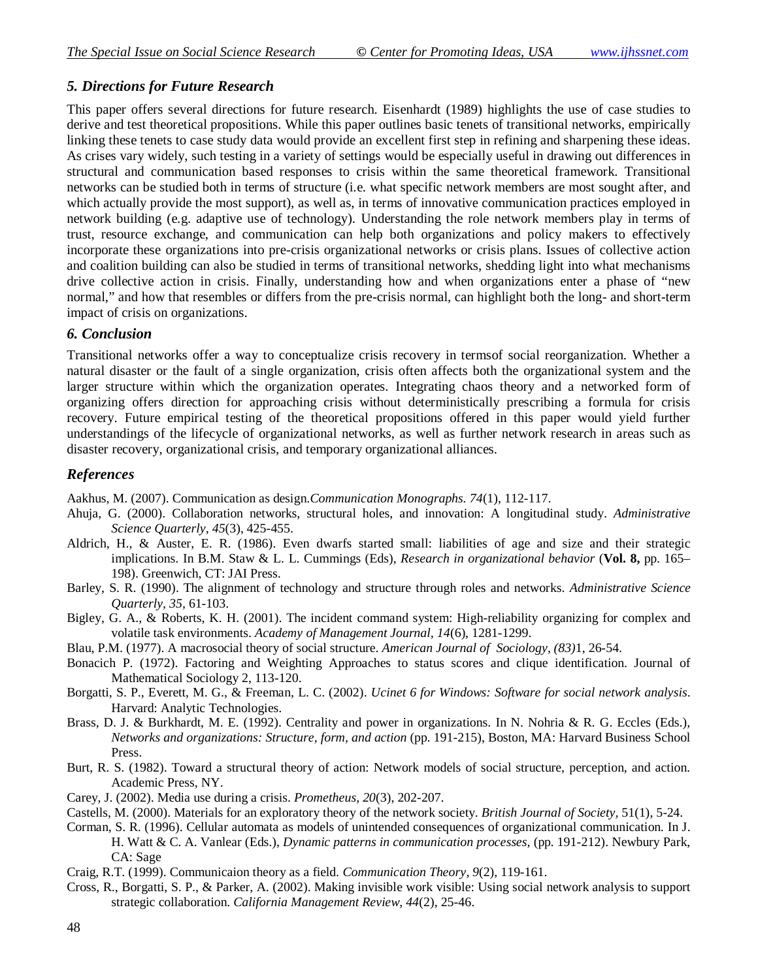## *5. Directions for Future Research*

This paper offers several directions for future research. Eisenhardt (1989) highlights the use of case studies to derive and test theoretical propositions. While this paper outlines basic tenets of transitional networks, empirically linking these tenets to case study data would provide an excellent first step in refining and sharpening these ideas. As crises vary widely, such testing in a variety of settings would be especially useful in drawing out differences in structural and communication based responses to crisis within the same theoretical framework. Transitional networks can be studied both in terms of structure (i.e. what specific network members are most sought after, and which actually provide the most support), as well as, in terms of innovative communication practices employed in network building (e.g. adaptive use of technology). Understanding the role network members play in terms of trust, resource exchange, and communication can help both organizations and policy makers to effectively incorporate these organizations into pre-crisis organizational networks or crisis plans. Issues of collective action and coalition building can also be studied in terms of transitional networks, shedding light into what mechanisms drive collective action in crisis. Finally, understanding how and when organizations enter a phase of "new normal," and how that resembles or differs from the pre-crisis normal, can highlight both the long- and short-term impact of crisis on organizations.

## *6. Conclusion*

Transitional networks offer a way to conceptualize crisis recovery in termsof social reorganization. Whether a natural disaster or the fault of a single organization, crisis often affects both the organizational system and the larger structure within which the organization operates. Integrating chaos theory and a networked form of organizing offers direction for approaching crisis without deterministically prescribing a formula for crisis recovery. Future empirical testing of the theoretical propositions offered in this paper would yield further understandings of the lifecycle of organizational networks, as well as further network research in areas such as disaster recovery, organizational crisis, and temporary organizational alliances.

## *References*

Aakhus, M. (2007). Communication as design.*Communication Monographs. 74*(1), 112-117.

- Ahuja, G. (2000). Collaboration networks, structural holes, and innovation: A longitudinal study. *Administrative Science Quarterly, 45*(3), 425-455.
- Aldrich, H., & Auster, E. R. (1986). Even dwarfs started small: liabilities of age and size and their strategic implications. In B.M. Staw & L. L. Cummings (Eds), *Research in organizational behavior* (**Vol. 8,** pp. 165– 198). Greenwich, CT: JAI Press.
- Barley, S. R. (1990). The alignment of technology and structure through roles and networks. *Administrative Science Quarterly, 35,* 61-103.
- Bigley, G. A., & Roberts, K. H. (2001). The incident command system: High-reliability organizing for complex and volatile task environments. *Academy of Management Journal, 14*(6), 1281-1299.
- Blau, P.M. (1977). A macrosocial theory of social structure. *American Journal of Sociology, (83)*1, 26-54.
- Bonacich P. (1972). Factoring and Weighting Approaches to status scores and clique identification. Journal of Mathematical Sociology 2, 113-120.
- Borgatti, S. P., Everett, M. G., & Freeman, L. C. (2002). *Ucinet 6 for Windows: Software for social network analysis*. Harvard: Analytic Technologies.
- Brass, D. J. & Burkhardt, M. E. (1992). Centrality and power in organizations. In N. Nohria & R. G. Eccles (Eds.), *Networks and organizations: Structure, form, and action* (pp. 191-215), Boston, MA: Harvard Business School Press.
- Burt, R. S. (1982). Toward a structural theory of action: Network models of social structure, perception, and action. Academic Press, NY.
- Carey, J. (2002). Media use during a crisis. *Prometheus, 20*(3), 202-207.
- Castells, M. (2000). Materials for an exploratory theory of the network society. *British Journal of Society,* 51(1), 5-24.
- Corman, S. R. (1996). Cellular automata as models of unintended consequences of organizational communication. In J. H. Watt & C. A. Vanlear (Eds.), *Dynamic patterns in communication processes,* (pp. 191-212). Newbury Park, CA: Sage
- Craig, R.T. (1999). Communicaion theory as a field. *Communication Theory, 9*(2), 119-161.
- Cross, R., Borgatti, S. P., & Parker, A. (2002). Making invisible work visible: Using social network analysis to support strategic collaboration. *California Management Review, 44*(2), 25-46.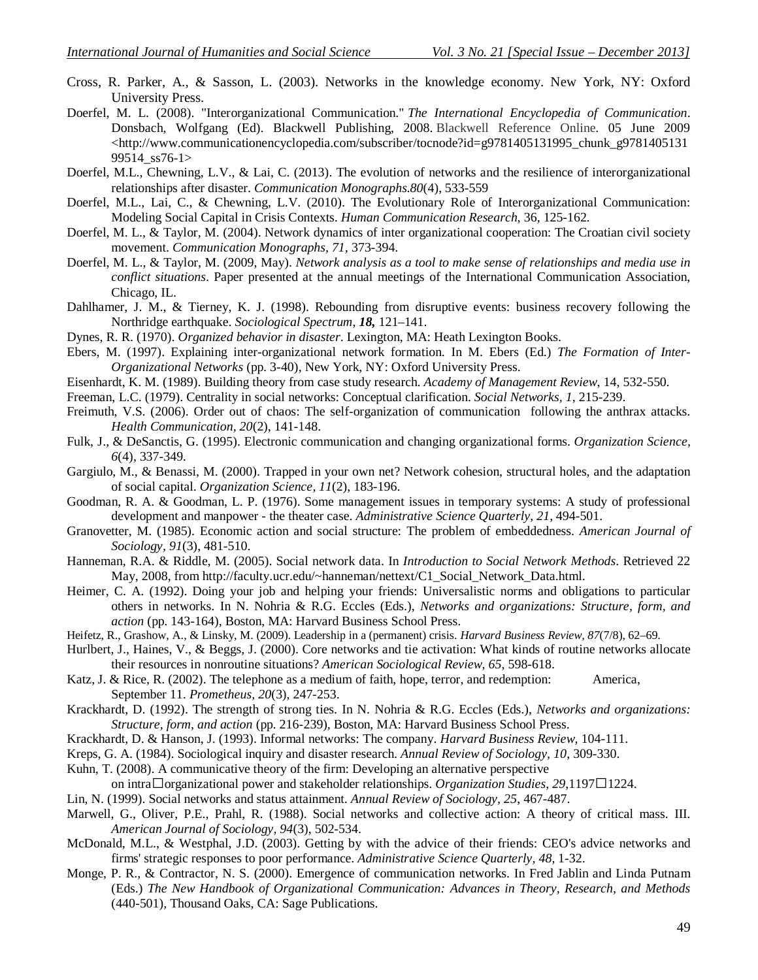- Cross, R. Parker, A., & Sasson, L. (2003). Networks in the knowledge economy. New York, NY: Oxford University Press.
- Doerfel, M. L. (2008). "Interorganizational Communication." *The International Encyclopedia of Communication*. Donsbach, Wolfgang (Ed). Blackwell Publishing, 2008. Blackwell Reference Online. 05 June 2009 <http://www.communicationencyclopedia.com/subscriber/tocnode?id=g9781405131995\_chunk\_g9781405131 99514\_ss76-1>
- Doerfel, M.L., Chewning, L.V., & Lai, C. (2013). The evolution of networks and the resilience of interorganizational relationships after disaster. *Communication Monographs.80*(4), 533-559
- Doerfel, M.L., Lai, C., & Chewning, L.V. (2010). The Evolutionary Role of Interorganizational Communication: Modeling Social Capital in Crisis Contexts. *Human Communication Research,* 36, 125-162*.*
- Doerfel, M. L., & Taylor, M. (2004). Network dynamics of inter organizational cooperation: The Croatian civil society movement. *Communication Monographs, 71,* 373-394.
- Doerfel, M. L., & Taylor, M. (2009, May). *Network analysis as a tool to make sense of relationships and media use in conflict situations*. Paper presented at the annual meetings of the International Communication Association, Chicago, IL.
- Dahlhamer, J. M., & Tierney, K. J. (1998). Rebounding from disruptive events: business recovery following the Northridge earthquake. *Sociological Spectrum*, *18,* 121–141.
- Dynes, R. R. (1970). *Organized behavior in disaster*. Lexington, MA: Heath Lexington Books.
- Ebers, M. (1997). Explaining inter-organizational network formation. In M. Ebers (Ed.) *The Formation of Inter-Organizational Networks* (pp. 3-40), New York, NY: Oxford University Press.
- Eisenhardt, K. M. (1989). Building theory from case study research. *Academy of Management Review*, 14, 532-550.
- Freeman, L.C. (1979). Centrality in social networks: Conceptual clarification. *Social Networks, 1*, 215-239.
- Freimuth, V.S. (2006). Order out of chaos: The self-organization of communication following the anthrax attacks. *Health Communication, 20*(2), 141-148.
- Fulk, J., & DeSanctis, G. (1995). Electronic communication and changing organizational forms. *Organization Science, 6*(4), 337-349.
- Gargiulo, M., & Benassi, M. (2000). Trapped in your own net? Network cohesion, structural holes, and the adaptation of social capital. *Organization Science, 11*(2), 183-196.
- Goodman, R. A. & Goodman, L. P. (1976). Some management issues in temporary systems: A study of professional development and manpower - the theater case. *Administrative Science Quarterly, 21*, 494-501.
- Granovetter, M. (1985). Economic action and social structure: The problem of embeddedness. *American Journal of Sociology, 91*(3), 481-510.
- Hanneman, R.A. & Riddle, M. (2005). Social network data. In *Introduction to Social Network Methods*. Retrieved 22 May, 2008, from http://faculty.ucr.edu/~hanneman/nettext/C1\_Social\_Network\_Data.html.
- Heimer, C. A. (1992). Doing your job and helping your friends: Universalistic norms and obligations to particular others in networks. In N. Nohria & R.G. Eccles (Eds.), *Networks and organizations: Structure, form, and action* (pp. 143-164), Boston, MA: Harvard Business School Press.
- Heifetz, R., Grashow, A., & Linsky, M. (2009). Leadership in a (permanent) crisis. *Harvard Business Review, 87*(7/8), 62–69.
- Hurlbert, J., Haines, V., & Beggs, J. (2000). Core networks and tie activation: What kinds of routine networks allocate their resources in nonroutine situations? *American Sociological Review, 65*, 598-618.
- Katz, J. & Rice, R. (2002). The telephone as a medium of faith, hope, terror, and redemption: America, September 11. *Prometheus, 20*(3), 247-253.
- Krackhardt, D. (1992). The strength of strong ties. In N. Nohria & R.G. Eccles (Eds.), *Networks and organizations: Structure, form, and action* (pp. 216-239), Boston, MA: Harvard Business School Press.
- Krackhardt, D. & Hanson, J. (1993). Informal networks: The company. *Harvard Business Review,* 104-111.
- Kreps, G. A. (1984). Sociological inquiry and disaster research. *Annual Review of Sociology, 10*, 309-330.
- Kuhn, T. (2008). A communicative theory of the firm: Developing an alternative perspective
- on intra $\Box$ organizational power and stakeholder relationships. *Organization Studies*, 29,1197 $\Box$ 1224.
- Lin, N. (1999). Social networks and status attainment. *Annual Review of Sociology, 25*, 467-487.
- Marwell, G., Oliver, P.E., Prahl, R. (1988). Social networks and collective action: A theory of critical mass. III. *American Journal of Sociology, 94*(3), 502-534.
- McDonald, M.L., & Westphal, J.D. (2003). Getting by with the advice of their friends: CEO's advice networks and firms' strategic responses to poor performance. *Administrative Science Quarterly, 48*, 1-32.
- Monge, P. R., & Contractor, N. S. (2000). Emergence of communication networks. In Fred Jablin and Linda Putnam (Eds.) *The New Handbook of Organizational Communication: Advances in Theory, Research, and Methods* (440-501), Thousand Oaks, CA: Sage Publications.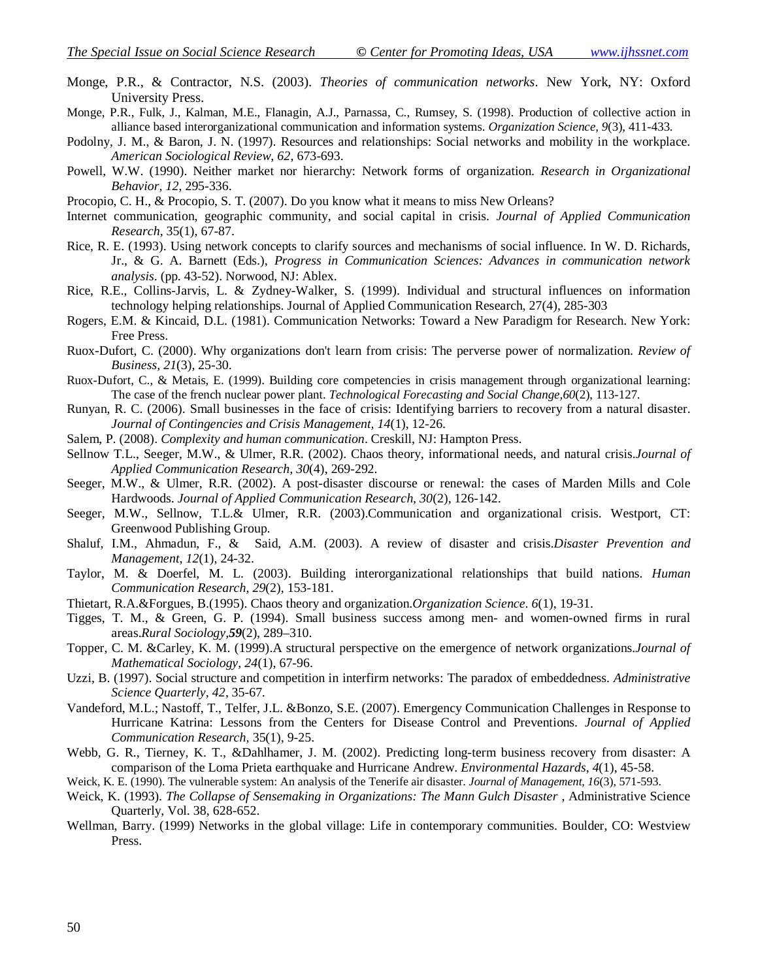- Monge, P.R., & Contractor, N.S. (2003). *Theories of communication networks*. New York, NY: Oxford University Press.
- Monge, P.R., Fulk, J., Kalman, M.E., Flanagin, A.J., Parnassa, C., Rumsey, S. (1998). Production of collective action in alliance based interorganizational communication and information systems. *Organization Science, 9*(3), 411-433.
- Podolny, J. M., & Baron, J. N. (1997). Resources and relationships: Social networks and mobility in the workplace. *American Sociological Review, 62*, 673-693.
- Powell, W.W. (1990). Neither market nor hierarchy: Network forms of organization. *Research in Organizational Behavior, 12*, 295-336.
- Procopio, C. H., & Procopio, S. T. (2007). Do you know what it means to miss New Orleans?
- Internet communication, geographic community, and social capital in crisis. *Journal of Applied Communication Research,* 35(1), 67-87.
- Rice, R. E. (1993). Using network concepts to clarify sources and mechanisms of social influence. In W. D. Richards, Jr., & G. A. Barnett (Eds.), *Progress in Communication Sciences: Advances in communication network analysis*. (pp. 43-52). Norwood, NJ: Ablex.
- Rice, R.E., Collins-Jarvis, L. & Zydney-Walker, S. (1999). Individual and structural influences on information technology helping relationships. Journal of Applied Communication Research, 27(4), 285-303
- Rogers, E.M. & Kincaid, D.L. (1981). Communication Networks: Toward a New Paradigm for Research. New York: Free Press.
- Ruox-Dufort, C. (2000). Why organizations don't learn from crisis: The perverse power of normalization. *Review of Business, 21*(3), 25-30.
- Ruox-Dufort, C., & Metais, E. (1999). Building core competencies in crisis management through organizational learning: The case of the french nuclear power plant. *Technological Forecasting and Social Change,60*(2), 113-127.
- Runyan, R. C. (2006). Small businesses in the face of crisis: Identifying barriers to recovery from a natural disaster. *Journal of Contingencies and Crisis Management, 14*(1), 12-26.
- Salem, P. (2008). *Complexity and human communication*. Creskill, NJ: Hampton Press.
- Sellnow T.L., Seeger, M.W., & Ulmer, R.R. (2002). Chaos theory, informational needs, and natural crisis.*Journal of Applied Communication Research, 30*(4), 269-292.
- Seeger, M.W., & Ulmer, R.R. (2002). A post-disaster discourse or renewal: the cases of Marden Mills and Cole Hardwoods. *Journal of Applied Communication Research, 30*(2), 126-142.
- Seeger, M.W., Sellnow, T.L.& Ulmer, R.R. (2003).Communication and organizational crisis. Westport, CT: Greenwood Publishing Group.
- Shaluf, I.M., Ahmadun, F., & Said, A.M. (2003). A review of disaster and crisis.*Disaster Prevention and Management*, *12*(1), 24-32.
- Taylor, M. & Doerfel, M. L. (2003). Building interorganizational relationships that build nations. *Human Communication Research, 29*(2), 153-181.
- Thietart, R.A.&Forgues, B.(1995). Chaos theory and organization.*Organization Science. 6*(1), 19-31.
- Tigges, T. M., & Green, G. P. (1994). Small business success among men- and women-owned firms in rural areas.*Rural Sociology,59*(2), 289–310.
- Topper, C. M. &Carley, K. M. (1999).A structural perspective on the emergence of network organizations.*Journal of Mathematical Sociology, 24*(1), 67-96.
- Uzzi, B. (1997). Social structure and competition in interfirm networks: The paradox of embeddedness. *Administrative Science Quarterly, 42*, 35-67.
- Vandeford, M.L.; Nastoff, T., Telfer, J.L. &Bonzo, S.E. (2007). Emergency Communication Challenges in Response to Hurricane Katrina: Lessons from the Centers for Disease Control and Preventions. *Journal of Applied Communication Research,* 35(1), 9-25.
- Webb, G. R., Tierney, K. T., &Dahlhamer, J. M. (2002). Predicting long-term business recovery from disaster: A comparison of the Loma Prieta earthquake and Hurricane Andrew. *Environmental Hazards*, *4*(1), 45-58.
- Weick, K. E. (1990). The vulnerable system: An analysis of the Tenerife air disaster. *Journal of Management, 16*(3), 571-593.
- Weick, K. (1993). *The Collapse of Sensemaking in Organizations: The Mann Gulch Disaster* , Administrative Science Quarterly, Vol. 38, 628-652.
- Wellman, Barry. (1999) Networks in the global village: Life in contemporary communities. Boulder, CO: Westview Press.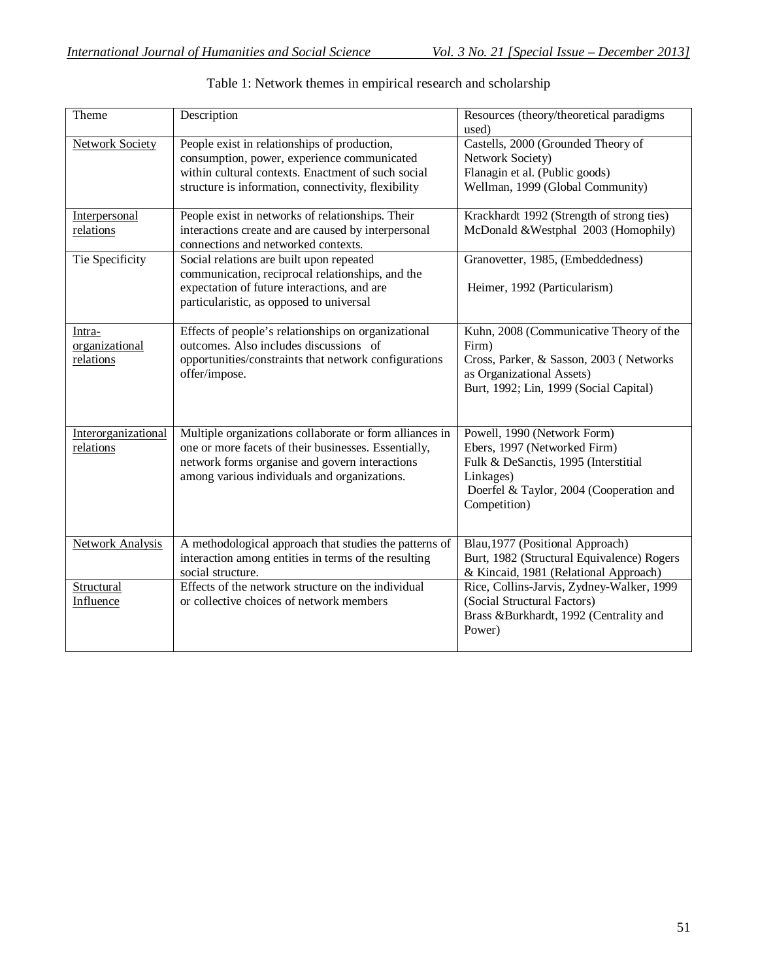| Theme                                 | Description                                                                                                                                                                                                       | Resources (theory/theoretical paradigms<br>used)                                                                                                                            |
|---------------------------------------|-------------------------------------------------------------------------------------------------------------------------------------------------------------------------------------------------------------------|-----------------------------------------------------------------------------------------------------------------------------------------------------------------------------|
| <b>Network Society</b>                | People exist in relationships of production,<br>consumption, power, experience communicated<br>within cultural contexts. Enactment of such social<br>structure is information, connectivity, flexibility          | Castells, 2000 (Grounded Theory of<br>Network Society)<br>Flanagin et al. (Public goods)<br>Wellman, 1999 (Global Community)                                                |
| Interpersonal<br>relations            | People exist in networks of relationships. Their<br>interactions create and are caused by interpersonal<br>connections and networked contexts.                                                                    | Krackhardt 1992 (Strength of strong ties)<br>McDonald & Westphal 2003 (Homophily)                                                                                           |
| Tie Specificity                       | Social relations are built upon repeated<br>communication, reciprocal relationships, and the<br>expectation of future interactions, and are<br>particularistic, as opposed to universal                           | Granovetter, 1985, (Embeddedness)<br>Heimer, 1992 (Particularism)                                                                                                           |
| Intra-<br>organizational<br>relations | Effects of people's relationships on organizational<br>outcomes. Also includes discussions of<br>opportunities/constraints that network configurations<br>offer/impose.                                           | Kuhn, 2008 (Communicative Theory of the<br>Firm)<br>Cross, Parker, & Sasson, 2003 (Networks<br>as Organizational Assets)<br>Burt, 1992; Lin, 1999 (Social Capital)          |
| Interorganizational<br>relations      | Multiple organizations collaborate or form alliances in<br>one or more facets of their businesses. Essentially,<br>network forms organise and govern interactions<br>among various individuals and organizations. | Powell, 1990 (Network Form)<br>Ebers, 1997 (Networked Firm)<br>Fulk & DeSanctis, 1995 (Interstitial<br>Linkages)<br>Doerfel & Taylor, 2004 (Cooperation and<br>Competition) |
| <b>Network Analysis</b>               | A methodological approach that studies the patterns of<br>interaction among entities in terms of the resulting<br>social structure.                                                                               | Blau, 1977 (Positional Approach)<br>Burt, 1982 (Structural Equivalence) Rogers<br>& Kincaid, 1981 (Relational Approach)                                                     |
| Structural<br>Influence               | Effects of the network structure on the individual<br>or collective choices of network members                                                                                                                    | Rice, Collins-Jarvis, Zydney-Walker, 1999<br>(Social Structural Factors)<br>Brass &Burkhardt, 1992 (Centrality and<br>Power)                                                |

## Table 1: Network themes in empirical research and scholarship